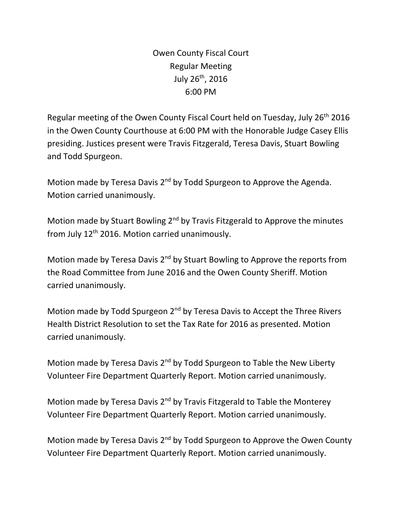Owen County Fiscal Court Regular Meeting July  $26^{th}$ , 2016 6:00 PM

Regular meeting of the Owen County Fiscal Court held on Tuesday, July 26th 2016 in the Owen County Courthouse at 6:00 PM with the Honorable Judge Casey Ellis presiding. Justices present were Travis Fitzgerald, Teresa Davis, Stuart Bowling and Todd Spurgeon.

Motion made by Teresa Davis 2<sup>nd</sup> by Todd Spurgeon to Approve the Agenda. Motion carried unanimously.

Motion made by Stuart Bowling 2<sup>nd</sup> by Travis Fitzgerald to Approve the minutes from July 12<sup>th</sup> 2016. Motion carried unanimously.

Motion made by Teresa Davis 2<sup>nd</sup> by Stuart Bowling to Approve the reports from the Road Committee from June 2016 and the Owen County Sheriff. Motion carried unanimously.

Motion made by Todd Spurgeon 2<sup>nd</sup> by Teresa Davis to Accept the Three Rivers Health District Resolution to set the Tax Rate for 2016 as presented. Motion carried unanimously.

Motion made by Teresa Davis 2<sup>nd</sup> by Todd Spurgeon to Table the New Liberty Volunteer Fire Department Quarterly Report. Motion carried unanimously.

Motion made by Teresa Davis 2nd by Travis Fitzgerald to Table the Monterey Volunteer Fire Department Quarterly Report. Motion carried unanimously.

Motion made by Teresa Davis 2<sup>nd</sup> by Todd Spurgeon to Approve the Owen County Volunteer Fire Department Quarterly Report. Motion carried unanimously.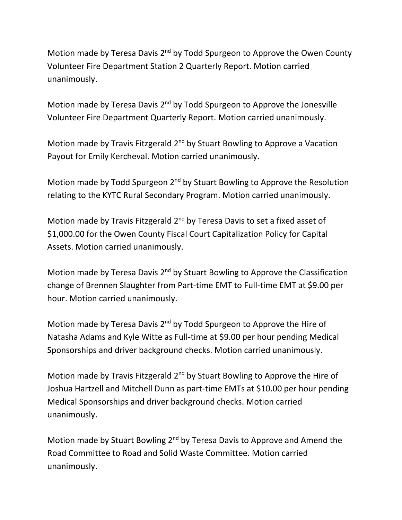Motion made by Teresa Davis 2<sup>nd</sup> by Todd Spurgeon to Approve the Owen County Volunteer Fire Department Station 2 Quarterly Report. Motion carried unanimously.

Motion made by Teresa Davis 2<sup>nd</sup> by Todd Spurgeon to Approve the Jonesville Volunteer Fire Department Quarterly Report. Motion carried unanimously.

Motion made by Travis Fitzgerald  $2^{nd}$  by Stuart Bowling to Approve a Vacation Payout for Emily Kercheval. Motion carried unanimously.

Motion made by Todd Spurgeon 2<sup>nd</sup> by Stuart Bowling to Approve the Resolution relating to the KYTC Rural Secondary Program. Motion carried unanimously.

Motion made by Travis Fitzgerald 2<sup>nd</sup> by Teresa Davis to set a fixed asset of \$1,000.00 for the Owen County Fiscal Court Capitalization Policy for Capital Assets. Motion carried unanimously.

Motion made by Teresa Davis 2<sup>nd</sup> by Stuart Bowling to Approve the Classification change of Brennen Slaughter from Part-time EMT to Full-time EMT at \$9.00 per hour. Motion carried unanimously.

Motion made by Teresa Davis 2<sup>nd</sup> by Todd Spurgeon to Approve the Hire of Natasha Adams and Kyle Witte as Full-time at \$9.00 per hour pending Medical Sponsorships and driver background checks. Motion carried unanimously.

Motion made by Travis Fitzgerald 2<sup>nd</sup> by Stuart Bowling to Approve the Hire of Joshua Hartzell and Mitchell Dunn as part-time EMTs at \$10.00 per hour pending Medical Sponsorships and driver background checks. Motion carried unanimously.

Motion made by Stuart Bowling 2<sup>nd</sup> by Teresa Davis to Approve and Amend the Road Committee to Road and Solid Waste Committee. Motion carried unanimously.